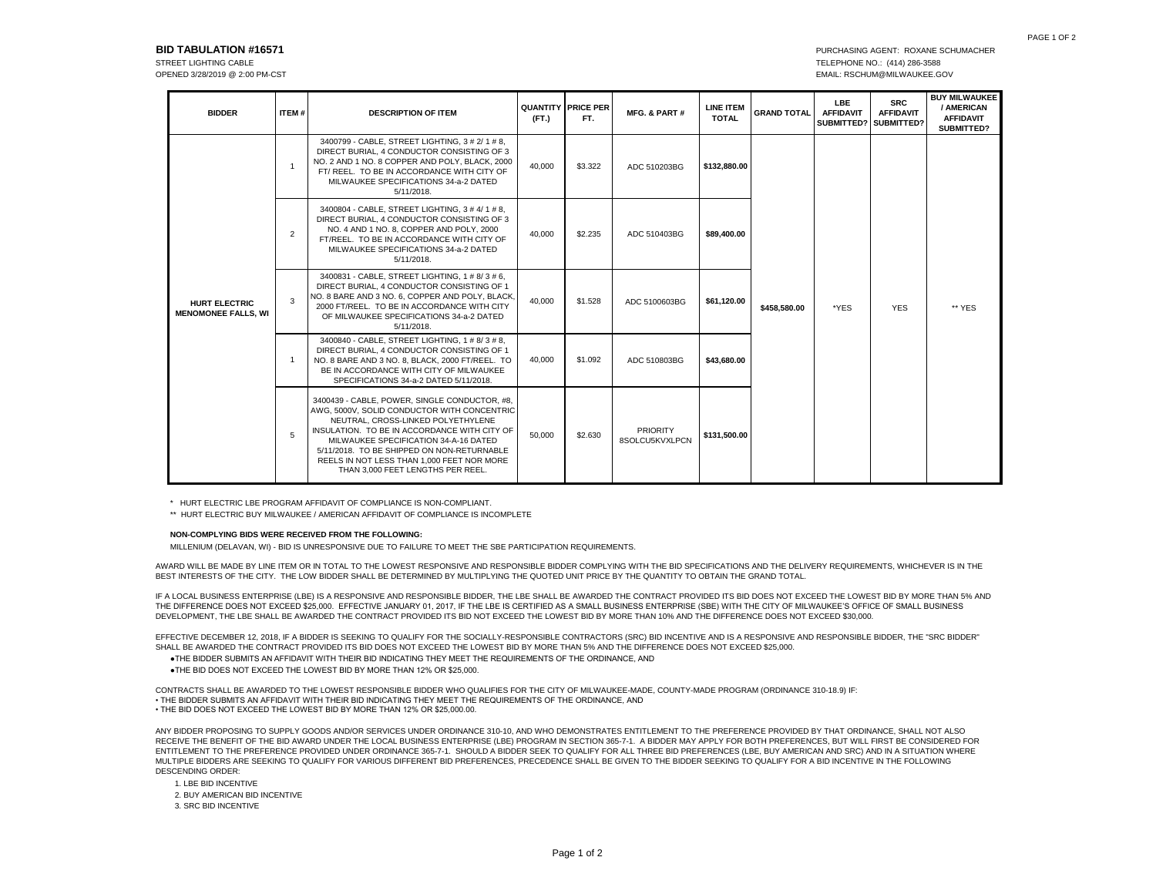## **BID TABULATION #16571 PURCHASING AGENT: ROXANE SCHUMACHER**

OPENED 3/28/2019 @ 2:00 PM-CST EMAIL: RSCHUM@MILWAUKEE.GOV

STREET LIGHTING CABLE **TELEPHONE NO.:** (414) 286-3588

| <b>BIDDER</b>                                      | ITEM#          | <b>DESCRIPTION OF ITEM</b>                                                                                                                                                                                                                                                                                                                                   | (FT.)  | <b>QUANTITY PRICE PER</b><br>FT. | MFG. & PART #                     | <b>LINE ITEM</b><br><b>TOTAL</b> | <b>GRAND TOTAL</b> | <b>LBE</b><br><b>AFFIDAVIT</b> | <b>SRC</b><br><b>AFFIDAVIT</b><br>SUBMITTED? SUBMITTED? | <b>BUY MILWAUKEE</b><br>/ AMERICAN<br><b>AFFIDAVIT</b><br>SUBMITTED? |
|----------------------------------------------------|----------------|--------------------------------------------------------------------------------------------------------------------------------------------------------------------------------------------------------------------------------------------------------------------------------------------------------------------------------------------------------------|--------|----------------------------------|-----------------------------------|----------------------------------|--------------------|--------------------------------|---------------------------------------------------------|----------------------------------------------------------------------|
| <b>HURT ELECTRIC</b><br><b>MENOMONEE FALLS, WI</b> | -1             | 3400799 - CABLE, STREET LIGHTING, 3 # 2/ 1 # 8,<br>DIRECT BURIAL, 4 CONDUCTOR CONSISTING OF 3<br>NO. 2 AND 1 NO. 8 COPPER AND POLY. BLACK. 2000<br>FT/ REEL. TO BE IN ACCORDANCE WITH CITY OF<br>MILWAUKEE SPECIFICATIONS 34-a-2 DATED<br>5/11/2018.                                                                                                         | 40.000 | \$3.322                          | ADC 510203BG                      | \$132,880.00                     | \$458,580.00       | *YES                           | <b>YES</b>                                              | ** YES                                                               |
|                                                    | $\overline{2}$ | 3400804 - CABLE, STREET LIGHTING, 3 # 4/ 1 # 8.<br>DIRECT BURIAL, 4 CONDUCTOR CONSISTING OF 3<br>NO. 4 AND 1 NO. 8. COPPER AND POLY. 2000<br>FT/REEL. TO BE IN ACCORDANCE WITH CITY OF<br>MILWAUKEE SPECIFICATIONS 34-a-2 DATED<br>5/11/2018.                                                                                                                | 40,000 | \$2.235                          | ADC 510403BG                      | \$89,400.00                      |                    |                                |                                                         |                                                                      |
|                                                    | 3              | 3400831 - CABLE, STREET LIGHTING, 1 # 8/ 3 # 6,<br>DIRECT BURIAL, 4 CONDUCTOR CONSISTING OF 1<br>NO. 8 BARE AND 3 NO. 6, COPPER AND POLY, BLACK,<br>2000 FT/REEL. TO BE IN ACCORDANCE WITH CITY<br>OF MILWAUKEE SPECIFICATIONS 34-a-2 DATED<br>5/11/2018.                                                                                                    | 40,000 | \$1.528                          | ADC 5100603BG                     | \$61,120.00                      |                    |                                |                                                         |                                                                      |
|                                                    | $\overline{1}$ | 3400840 - CABLE, STREET LIGHTING, 1 # 8/ 3 # 8.<br>DIRECT BURIAL, 4 CONDUCTOR CONSISTING OF 1<br>NO. 8 BARE AND 3 NO. 8, BLACK, 2000 FT/REEL. TO<br>BE IN ACCORDANCE WITH CITY OF MILWAUKEE<br>SPECIFICATIONS 34-a-2 DATED 5/11/2018.                                                                                                                        | 40.000 | \$1.092                          | ADC 510803BG                      | \$43.680.00                      |                    |                                |                                                         |                                                                      |
|                                                    | 5              | 3400439 - CABLE, POWER, SINGLE CONDUCTOR, #8,<br>AWG. 5000V. SOLID CONDUCTOR WITH CONCENTRIC<br>NEUTRAL, CROSS-LINKED POLYETHYLENE<br>INSULATION. TO BE IN ACCORDANCE WITH CITY OF<br>MILWAUKEE SPECIFICATION 34-A-16 DATED<br>5/11/2018. TO BE SHIPPED ON NON-RETURNABLE<br>REELS IN NOT LESS THAN 1,000 FEET NOR MORE<br>THAN 3.000 FEET LENGTHS PER REEL. | 50,000 | \$2.630                          | <b>PRIORITY</b><br>8SOLCU5KVXLPCN | \$131.500.00                     |                    |                                |                                                         |                                                                      |

\* HURT ELECTRIC LBE PROGRAM AFFIDAVIT OF COMPLIANCE IS NON-COMPLIANT.

\*\* HURT ELECTRIC BUY MILWAUKEE / AMERICAN AFFIDAVIT OF COMPLIANCE IS INCOMPLETE

## **NON-COMPLYING BIDS WERE RECEIVED FROM THE FOLLOWING:**

MILLENIUM (DELAVAN, WI) - BID IS UNRESPONSIVE DUE TO FAILURE TO MEET THE SBE PARTICIPATION REQUIREMENTS.

AWARD WILL BE MADE BY LINE ITEM OR IN TOTAL TO THE LOWEST RESPONSIVE AND RESPONSIBLE BIDDER COMPLYING WITH THE BID SPECIFICATIONS AND THE DELIVERY REQUIREMENTS, WHICHEVER IS IN THE BEST INTERESTS OF THE CITY. THE LOW BIDDER SHALL BE DETERMINED BY MULTIPLYING THE QUOTED UNIT PRICE BY THE QUANTITY TO OBTAIN THE GRAND TOTAL.

IF A LOCAL BUSINESS ENTERPRISE (LBE) IS A RESPONSIVE AND RESPONSIBLE BIDDER, THE LBE SHALL BE AWARDED THE CONTRACT PROVIDED ITS BID DOES NOT EXCEED THE LOWEST BID BY MORE THAN 5% AND THE DIFFERENCE DOES NOT EXCEED \$25,000. EFFECTIVE JANUARY 01, 2017, IF THE LBE IS CERTIFIED AS A SMALL BUSINESS ENTERPRISE (SBE) WITH THE CITY OF MILWAUKEE'S OFFICE OF SMALL BUSINESS DEVELOPMENT, THE LBE SHALL BE AWARDED THE CONTRACT PROVIDED ITS BID NOT EXCEED THE LOWEST BID BY MORE THAN 10% AND THE DIFFERENCE DOES NOT EXCEED \$30,000.

EFFECTIVE DECEMBER 12, 2018, IF A BIDDER IS SEEKING TO QUALIFY FOR THE SOCIALLY-RESPONSIBLE CONTRACTORS (SRC) BID INCENTIVE AND IS A RESPONSIVE AND RESPONSIBLE BIDDER, THE "SRC BIDDER" SHALL BE AWARDED THE CONTRACT PROVIDED ITS BID DOES NOT EXCEED THE LOWEST BID BY MORE THAN 5% AND THE DIFFERENCE DOES NOT EXCEED \$25,000.

- ●THE BIDDER SUBMITS AN AFFIDAVIT WITH THEIR BID INDICATING THEY MEET THE REQUIREMENTS OF THE ORDINANCE, AND
- ●THE BID DOES NOT EXCEED THE LOWEST BID BY MORE THAN 12% OR \$25,000.

CONTRACTS SHALL BE AWARDED TO THE LOWEST RESPONSIBLE BIDDER WHO QUALIFIES FOR THE CITY OF MILWAUKEE-MADE, COUNTY-MADE PROGRAM (ORDINANCE 310-18.9) IF: • THE BIDDER SUBMITS AN AFFIDAVIT WITH THEIR BID INDICATING THEY MEET THE REQUIREMENTS OF THE ORDINANCE, AND • THE BID DOES NOT EXCEED THE LOWEST BID BY MORE THAN 12% OR \$25,000.00.

ANY BIDDER PROPOSING TO SUPPLY GOODS AND/OR SERVICES UNDER ORDINANCE 310-10, AND WHO DEMONSTRATES ENTITLEMENT TO THE PREFERENCE PROVIDED BY THAT ORDINANCE, SHALL NOT ALSO RECEIVE THE BENEFIT OF THE BID AWARD UNDER THE LOCAL BUSINESS ENTERPRISE (LBE) PROGRAM IN SECTION 365-7-1. A BIDDER MAY APPLY FOR BOTH PREFERENCES, BUT WILL FIRST BE CONSIDERED FOR ENTITLEMENT TO THE PREFERENCE PROVIDED UNDER ORDINANCE 365-7-1. SHOULD A BIDDER SEEK TO QUALIFY FOR ALL THREE BID PREFERENCES (LBE, BUY AMERICAN AND SRC) AND IN A SITUATION WHERE MULTIPLE BIDDERS ARE SEEKING TO QUALIFY FOR VARIOUS DIFFERENT BID PREFERENCES, PRECEDENCE SHALL BE GIVEN TO THE BIDDER SEEKING TO QUALIFY FOR A BID INCENTIVE IN THE FOLLOWING DESCENDING ORDER:

- 1. LBE BID INCENTIVE
- 2. BUY AMERICAN BID INCENTIVE
- 3. SRC BID INCENTIVE